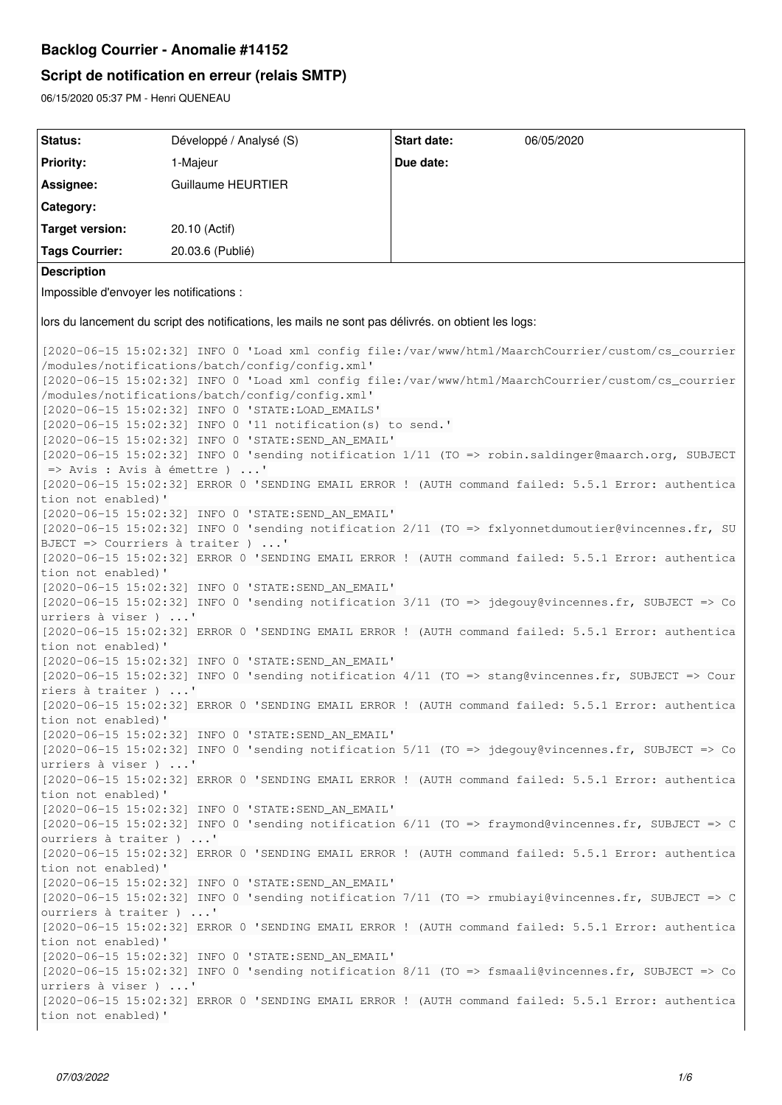# **Backlog Courrier - Anomalie #14152**

# **Script de notification en erreur (relais SMTP)**

06/15/2020 05:37 PM - Henri QUENEAU

| Status:                                                                                                                            | Développé / Analysé (S)                            | <b>Start date:</b><br>06/05/2020                                                                   |  |  |  |  |
|------------------------------------------------------------------------------------------------------------------------------------|----------------------------------------------------|----------------------------------------------------------------------------------------------------|--|--|--|--|
| <b>Priority:</b>                                                                                                                   | 1-Majeur                                           | Due date:                                                                                          |  |  |  |  |
| Assignee:                                                                                                                          | <b>Guillaume HEURTIER</b>                          |                                                                                                    |  |  |  |  |
| Category:                                                                                                                          |                                                    |                                                                                                    |  |  |  |  |
|                                                                                                                                    |                                                    |                                                                                                    |  |  |  |  |
| <b>Target version:</b>                                                                                                             | 20.10 (Actif)                                      |                                                                                                    |  |  |  |  |
| <b>Tags Courrier:</b>                                                                                                              | 20.03.6 (Publié)                                   |                                                                                                    |  |  |  |  |
| <b>Description</b>                                                                                                                 |                                                    |                                                                                                    |  |  |  |  |
| Impossible d'envoyer les notifications :                                                                                           |                                                    |                                                                                                    |  |  |  |  |
| lors du lancement du script des notifications, les mails ne sont pas délivrés. on obtient les logs:                                |                                                    |                                                                                                    |  |  |  |  |
| [2020-06-15 15:02:32] INFO 0 'Load xml config file:/var/www/html/MaarchCourrier/custom/cs_courrier                                 |                                                    |                                                                                                    |  |  |  |  |
|                                                                                                                                    | /modules/notifications/batch/config/config.xml'    |                                                                                                    |  |  |  |  |
| [2020-06-15 15:02:32] INFO 0 'Load xml config file:/var/www/html/MaarchCourrier/custom/cs_courrier                                 |                                                    |                                                                                                    |  |  |  |  |
|                                                                                                                                    | /modules/notifications/batch/config/config.xml'    |                                                                                                    |  |  |  |  |
| [2020-06-15 15:02:32] INFO 0 'STATE:LOAD_EMAILS'                                                                                   |                                                    |                                                                                                    |  |  |  |  |
| [2020-06-15 15:02:32] INFO 0 '11 notification(s) to send.'                                                                         |                                                    |                                                                                                    |  |  |  |  |
| [2020-06-15 15:02:32] INFO 0 'STATE:SEND AN EMAIL'                                                                                 |                                                    |                                                                                                    |  |  |  |  |
| [2020-06-15 15:02:32] INFO 0 'sending notification 1/11 (TO => robin.saldinger@maarch.org, SUBJECT<br>=> Avis : Avis à émettre ) ' |                                                    |                                                                                                    |  |  |  |  |
| [2020-06-15 15:02:32] ERROR 0 'SENDING EMAIL ERROR ! (AUTH command failed: 5.5.1 Error: authentica                                 |                                                    |                                                                                                    |  |  |  |  |
| tion not enabled)'                                                                                                                 |                                                    |                                                                                                    |  |  |  |  |
|                                                                                                                                    | [2020-06-15 15:02:32] INFO 0 'STATE:SEND_AN_EMAIL' |                                                                                                    |  |  |  |  |
|                                                                                                                                    |                                                    | [2020-06-15 15:02:32] INFO 0 'sending notification 2/11 (TO => fxlyonnetdumoutier@vincennes.fr, SU |  |  |  |  |
|                                                                                                                                    | BJECT => Courriers à traiter ) '                   |                                                                                                    |  |  |  |  |
| tion not enabled)'                                                                                                                 |                                                    | [2020-06-15 15:02:32] ERROR 0 'SENDING EMAIL ERROR ! (AUTH command failed: 5.5.1 Error: authentica |  |  |  |  |
|                                                                                                                                    | [2020-06-15 15:02:32] INFO 0 'STATE:SEND AN EMAIL' |                                                                                                    |  |  |  |  |
|                                                                                                                                    |                                                    | [2020-06-15 15:02:32] INFO 0 'sending notification 3/11 (TO => jdegouy@vincennes.fr, SUBJECT => Co |  |  |  |  |
| urriers à viser ) '                                                                                                                |                                                    |                                                                                                    |  |  |  |  |
|                                                                                                                                    |                                                    | [2020-06-15 15:02:32] ERROR 0 'SENDING EMAIL ERROR ! (AUTH command failed: 5.5.1 Error: authentica |  |  |  |  |
| tion not enabled)'                                                                                                                 | [2020-06-15 15:02:32] INFO 0 'STATE:SEND AN EMAIL' |                                                                                                    |  |  |  |  |
|                                                                                                                                    |                                                    | [2020-06-15 15:02:32] INFO 0 'sending notification 4/11 (TO => stang@vincennes.fr, SUBJECT => Cour |  |  |  |  |
| riers à traiter ) '                                                                                                                |                                                    |                                                                                                    |  |  |  |  |
|                                                                                                                                    |                                                    | [2020-06-15 15:02:32] ERROR 0 'SENDING EMAIL ERROR ! (AUTH command failed: 5.5.1 Error: authentica |  |  |  |  |
| tion not enabled)'                                                                                                                 |                                                    |                                                                                                    |  |  |  |  |
|                                                                                                                                    | [2020-06-15 15:02:32] INFO 0 'STATE:SEND_AN_EMAIL' |                                                                                                    |  |  |  |  |
|                                                                                                                                    |                                                    | [2020-06-15 15:02:32] INFO 0 'sending notification 5/11 (TO => jdegouy@vincennes.fr, SUBJECT => Co |  |  |  |  |
| urriers à viser ) '                                                                                                                |                                                    | [2020-06-15 15:02:32] ERROR 0 'SENDING EMAIL ERROR ! (AUTH command failed: 5.5.1 Error: authentica |  |  |  |  |
| tion not enabled)'                                                                                                                 |                                                    |                                                                                                    |  |  |  |  |
|                                                                                                                                    | [2020-06-15 15:02:32] INFO 0 'STATE:SEND_AN_EMAIL' |                                                                                                    |  |  |  |  |
|                                                                                                                                    |                                                    | [2020-06-15 15:02:32] INFO 0 'sending notification 6/11 (TO => fraymond@vincennes.fr, SUBJECT => C |  |  |  |  |
| ourriers à traiter ) '                                                                                                             |                                                    |                                                                                                    |  |  |  |  |
| tion not enabled)'                                                                                                                 |                                                    | [2020-06-15 15:02:32] ERROR 0 'SENDING EMAIL ERROR ! (AUTH command failed: 5.5.1 Error: authentica |  |  |  |  |
|                                                                                                                                    | [2020-06-15 15:02:32] INFO 0 'STATE:SEND_AN_EMAIL' |                                                                                                    |  |  |  |  |
|                                                                                                                                    |                                                    | [2020-06-15 15:02:32] INFO 0 'sending notification 7/11 (TO => rmubiayi@vincennes.fr, SUBJECT => C |  |  |  |  |
| ourriers à traiter ) '                                                                                                             |                                                    |                                                                                                    |  |  |  |  |
|                                                                                                                                    |                                                    | [2020-06-15 15:02:32] ERROR 0 'SENDING EMAIL ERROR ! (AUTH command failed: 5.5.1 Error: authentica |  |  |  |  |
| tion not enabled)'                                                                                                                 |                                                    |                                                                                                    |  |  |  |  |
|                                                                                                                                    | [2020-06-15 15:02:32] INFO 0 'STATE:SEND_AN_EMAIL' |                                                                                                    |  |  |  |  |
| urriers à viser ) '                                                                                                                |                                                    | [2020-06-15 15:02:32] INFO 0 'sending notification 8/11 (TO => fsmaali@vincennes.fr, SUBJECT => Co |  |  |  |  |
|                                                                                                                                    |                                                    | [2020-06-15 15:02:32] ERROR 0 'SENDING EMAIL ERROR ! (AUTH command failed: 5.5.1 Error: authentica |  |  |  |  |
| tion not enabled)'                                                                                                                 |                                                    |                                                                                                    |  |  |  |  |
|                                                                                                                                    |                                                    |                                                                                                    |  |  |  |  |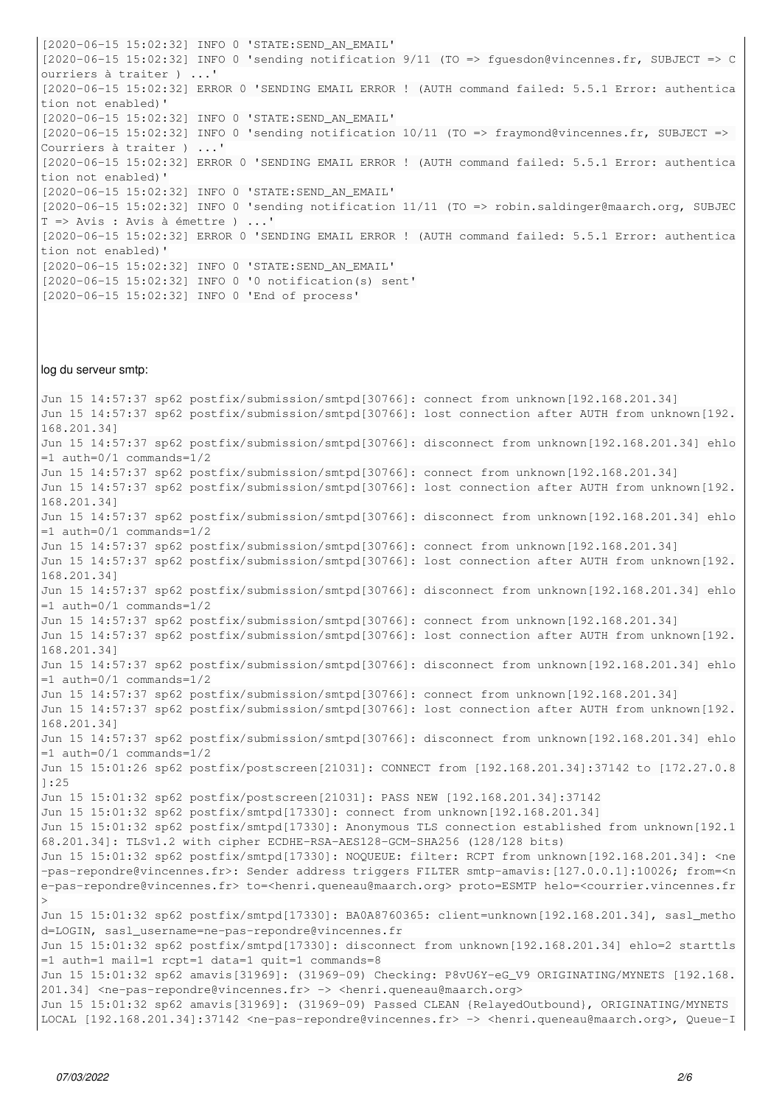[2020-06-15 15:02:32] INFO 0 'STATE:SEND\_AN\_EMAIL' [2020-06-15 15:02:32] INFO 0 'sending notification 9/11 (TO => fguesdon@vincennes.fr, SUBJECT => C ourriers à traiter ) ...' [2020-06-15 15:02:32] ERROR 0 'SENDING EMAIL ERROR ! (AUTH command failed: 5.5.1 Error: authentica tion not enabled)' [2020-06-15 15:02:32] INFO 0 'STATE:SEND\_AN\_EMAIL' [2020-06-15 15:02:32] INFO 0 'sending notification 10/11 (TO => fraymond@vincennes.fr, SUBJECT => Courriers à traiter ) ...' [2020-06-15 15:02:32] ERROR 0 'SENDING EMAIL ERROR ! (AUTH command failed: 5.5.1 Error: authentica tion not enabled)' [2020-06-15 15:02:32] INFO 0 'STATE:SEND\_AN\_EMAIL' [2020-06-15 15:02:32] INFO 0 'sending notification 11/11 (TO => robin.saldinger@maarch.org, SUBJEC T => Avis : Avis à émettre ) ...' [2020-06-15 15:02:32] ERROR 0 'SENDING EMAIL ERROR ! (AUTH command failed: 5.5.1 Error: authentica tion not enabled)' [2020-06-15 15:02:32] INFO 0 'STATE:SEND\_AN\_EMAIL' [2020-06-15 15:02:32] INFO 0 '0 notification(s) sent' [2020-06-15 15:02:32] INFO 0 'End of process'

#### log du serveur smtp:

Jun 15 14:57:37 sp62 postfix/submission/smtpd[30766]: connect from unknown[192.168.201.34] Jun 15 14:57:37 sp62 postfix/submission/smtpd[30766]: lost connection after AUTH from unknown[192. 168.201.34] Jun 15 14:57:37 sp62 postfix/submission/smtpd[30766]: disconnect from unknown[192.168.201.34] ehlo =1 auth=0/1 commands=1/2 Jun 15 14:57:37 sp62 postfix/submission/smtpd[30766]: connect from unknown[192.168.201.34] Jun 15 14:57:37 sp62 postfix/submission/smtpd[30766]: lost connection after AUTH from unknown[192. 168.201.34] Jun 15 14:57:37 sp62 postfix/submission/smtpd[30766]: disconnect from unknown[192.168.201.34] ehlo =1 auth=0/1 commands=1/2 Jun 15 14:57:37 sp62 postfix/submission/smtpd[30766]: connect from unknown[192.168.201.34] Jun 15 14:57:37 sp62 postfix/submission/smtpd[30766]: lost connection after AUTH from unknown[192. 168.201.34] Jun 15 14:57:37 sp62 postfix/submission/smtpd[30766]: disconnect from unknown[192.168.201.34] ehlo =1 auth=0/1 commands=1/2 Jun 15 14:57:37 sp62 postfix/submission/smtpd[30766]: connect from unknown[192.168.201.34] Jun 15 14:57:37 sp62 postfix/submission/smtpd[30766]: lost connection after AUTH from unknown[192. 168.201.34] Jun 15 14:57:37 sp62 postfix/submission/smtpd[30766]: disconnect from unknown[192.168.201.34] ehlo =1 auth=0/1 commands=1/2 Jun 15 14:57:37 sp62 postfix/submission/smtpd[30766]: connect from unknown[192.168.201.34] Jun 15 14:57:37 sp62 postfix/submission/smtpd[30766]: lost connection after AUTH from unknown[192. 168.201.34] Jun 15 14:57:37 sp62 postfix/submission/smtpd[30766]: disconnect from unknown[192.168.201.34] ehlo =1 auth=0/1 commands=1/2 Jun 15 15:01:26 sp62 postfix/postscreen[21031]: CONNECT from [192.168.201.34]:37142 to [172.27.0.8 ]:25 Jun 15 15:01:32 sp62 postfix/postscreen[21031]: PASS NEW [192.168.201.34]:37142 Jun 15 15:01:32 sp62 postfix/smtpd[17330]: connect from unknown[192.168.201.34] Jun 15 15:01:32 sp62 postfix/smtpd[17330]: Anonymous TLS connection established from unknown[192.1 68.201.34]: TLSv1.2 with cipher ECDHE-RSA-AES128-GCM-SHA256 (128/128 bits) Jun 15 15:01:32 sp62 postfix/smtpd[17330]: NOQUEUE: filter: RCPT from unknown[192.168.201.34]: <ne -pas-repondre@vincennes.fr>: Sender address triggers FILTER smtp-amavis:[127.0.0.1]:10026; from=<n e-pas-repondre@vincennes.fr> to=<henri.queneau@maarch.org> proto=ESMTP helo=<courrier.vincennes.fr > Jun 15 15:01:32 sp62 postfix/smtpd[17330]: BA0A8760365: client=unknown[192.168.201.34], sasl\_metho d=LOGIN, sasl\_username=ne-pas-repondre@vincennes.fr Jun 15 15:01:32 sp62 postfix/smtpd[17330]: disconnect from unknown[192.168.201.34] ehlo=2 starttls =1 auth=1 mail=1 rcpt=1 data=1 quit=1 commands=8 Jun 15 15:01:32 sp62 amavis[31969]: (31969-09) Checking: P8vU6Y-eG\_V9 ORIGINATING/MYNETS [192.168. 201.34] <ne-pas-repondre@vincennes.fr> -> <henri.queneau@maarch.org> Jun 15 15:01:32 sp62 amavis[31969]: (31969-09) Passed CLEAN {RelayedOutbound}, ORIGINATING/MYNETS LOCAL [192.168.201.34]:37142 <ne-pas-repondre@vincennes.fr> -> <henri.queneau@maarch.org>, Queue-I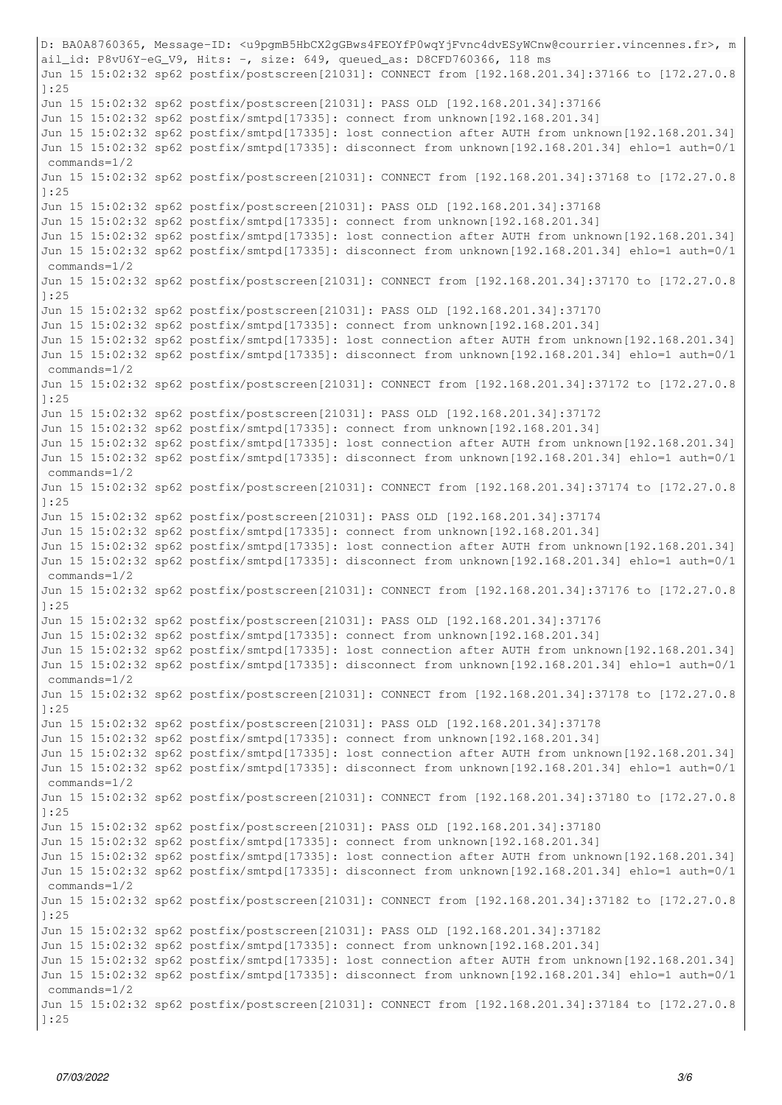```
D: BA0A8760365, Message-ID: <u9pgmB5HbCX2gGBws4FEOYfP0wqYjFvnc4dvESyWCnw@courrier.vincennes.fr>, m
ail_id: P8vU6Y-eG_V9, Hits: -, size: 649, queued_as: D8CFD760366, 118 ms
Jun 15 15:02:32 sp62 postfix/postscreen[21031]: CONNECT from [192.168.201.34]:37166 to [172.27.0.8
]:25
Jun 15 15:02:32 sp62 postfix/postscreen[21031]: PASS OLD [192.168.201.34]:37166
Jun 15 15:02:32 sp62 postfix/smtpd[17335]: connect from unknown[192.168.201.34]
Jun 15 15:02:32 sp62 postfix/smtpd[17335]: lost connection after AUTH from unknown[192.168.201.34]
Jun 15 15:02:32 sp62 postfix/smtpd[17335]: disconnect from unknown[192.168.201.34] ehlo=1 auth=0/1
 commands=1/2
Jun 15 15:02:32 sp62 postfix/postscreen[21031]: CONNECT from [192.168.201.34]:37168 to [172.27.0.8
]:25
Jun 15 15:02:32 sp62 postfix/postscreen[21031]: PASS OLD [192.168.201.34]:37168
Jun 15 15:02:32 sp62 postfix/smtpd[17335]: connect from unknown[192.168.201.34]
Jun 15 15:02:32 sp62 postfix/smtpd[17335]: lost connection after AUTH from unknown[192.168.201.34]
Jun 15 15:02:32 sp62 postfix/smtpd[17335]: disconnect from unknown[192.168.201.34] ehlo=1 auth=0/1
 commands=1/2
Jun 15 15:02:32 sp62 postfix/postscreen[21031]: CONNECT from [192.168.201.34]:37170 to [172.27.0.8
]:25
Jun 15 15:02:32 sp62 postfix/postscreen[21031]: PASS OLD [192.168.201.34]:37170
Jun 15 15:02:32 sp62 postfix/smtpd[17335]: connect from unknown[192.168.201.34]
Jun 15 15:02:32 sp62 postfix/smtpd[17335]: lost connection after AUTH from unknown[192.168.201.34]
Jun 15 15:02:32 sp62 postfix/smtpd[17335]: disconnect from unknown[192.168.201.34] ehlo=1 auth=0/1
 commands=1/2
Jun 15 15:02:32 sp62 postfix/postscreen[21031]: CONNECT from [192.168.201.34]:37172 to [172.27.0.8
]:25
Jun 15 15:02:32 sp62 postfix/postscreen[21031]: PASS OLD [192.168.201.34]:37172
Jun 15 15:02:32 sp62 postfix/smtpd[17335]: connect from unknown[192.168.201.34]
Jun 15 15:02:32 sp62 postfix/smtpd[17335]: lost connection after AUTH from unknown[192.168.201.34]
Jun 15 15:02:32 sp62 postfix/smtpd[17335]: disconnect from unknown[192.168.201.34] ehlo=1 auth=0/1
 commands=1/2
Jun 15 15:02:32 sp62 postfix/postscreen[21031]: CONNECT from [192.168.201.34]:37174 to [172.27.0.8
]:25
Jun 15 15:02:32 sp62 postfix/postscreen[21031]: PASS OLD [192.168.201.34]:37174
Jun 15 15:02:32 sp62 postfix/smtpd[17335]: connect from unknown[192.168.201.34]
Jun 15 15:02:32 sp62 postfix/smtpd[17335]: lost connection after AUTH from unknown[192.168.201.34]
Jun 15 15:02:32 sp62 postfix/smtpd[17335]: disconnect from unknown[192.168.201.34] ehlo=1 auth=0/1
 commands=1/2
Jun 15 15:02:32 sp62 postfix/postscreen[21031]: CONNECT from [192.168.201.34]:37176 to [172.27.0.8
]:25
Jun 15 15:02:32 sp62 postfix/postscreen[21031]: PASS OLD [192.168.201.34]:37176
Jun 15 15:02:32 sp62 postfix/smtpd[17335]: connect from unknown[192.168.201.34]
Jun 15 15:02:32 sp62 postfix/smtpd[17335]: lost connection after AUTH from unknown[192.168.201.34]
Jun 15 15:02:32 sp62 postfix/smtpd[17335]: disconnect from unknown[192.168.201.34] ehlo=1 auth=0/1
 commands=1/2
Jun 15 15:02:32 sp62 postfix/postscreen[21031]: CONNECT from [192.168.201.34]:37178 to [172.27.0.8
]:25
Jun 15 15:02:32 sp62 postfix/postscreen[21031]: PASS OLD [192.168.201.34]:37178
Jun 15 15:02:32 sp62 postfix/smtpd[17335]: connect from unknown[192.168.201.34]
Jun 15 15:02:32 sp62 postfix/smtpd[17335]: lost connection after AUTH from unknown[192.168.201.34]
Jun 15 15:02:32 sp62 postfix/smtpd[17335]: disconnect from unknown[192.168.201.34] ehlo=1 auth=0/1
 commands=1/2
Jun 15 15:02:32 sp62 postfix/postscreen[21031]: CONNECT from [192.168.201.34]:37180 to [172.27.0.8
]:25
Jun 15 15:02:32 sp62 postfix/postscreen[21031]: PASS OLD [192.168.201.34]:37180
Jun 15 15:02:32 sp62 postfix/smtpd[17335]: connect from unknown[192.168.201.34]
Jun 15 15:02:32 sp62 postfix/smtpd[17335]: lost connection after AUTH from unknown[192.168.201.34]
Jun 15 15:02:32 sp62 postfix/smtpd[17335]: disconnect from unknown[192.168.201.34] ehlo=1 auth=0/1
 commands=1/2
Jun 15 15:02:32 sp62 postfix/postscreen[21031]: CONNECT from [192.168.201.34]:37182 to [172.27.0.8
]:25
Jun 15 15:02:32 sp62 postfix/postscreen[21031]: PASS OLD [192.168.201.34]:37182
Jun 15 15:02:32 sp62 postfix/smtpd[17335]: connect from unknown[192.168.201.34]
Jun 15 15:02:32 sp62 postfix/smtpd[17335]: lost connection after AUTH from unknown[192.168.201.34]
Jun 15 15:02:32 sp62 postfix/smtpd[17335]: disconnect from unknown[192.168.201.34] ehlo=1 auth=0/1
 commands=1/2
Jun 15 15:02:32 sp62 postfix/postscreen[21031]: CONNECT from [192.168.201.34]:37184 to [172.27.0.8
]:25
```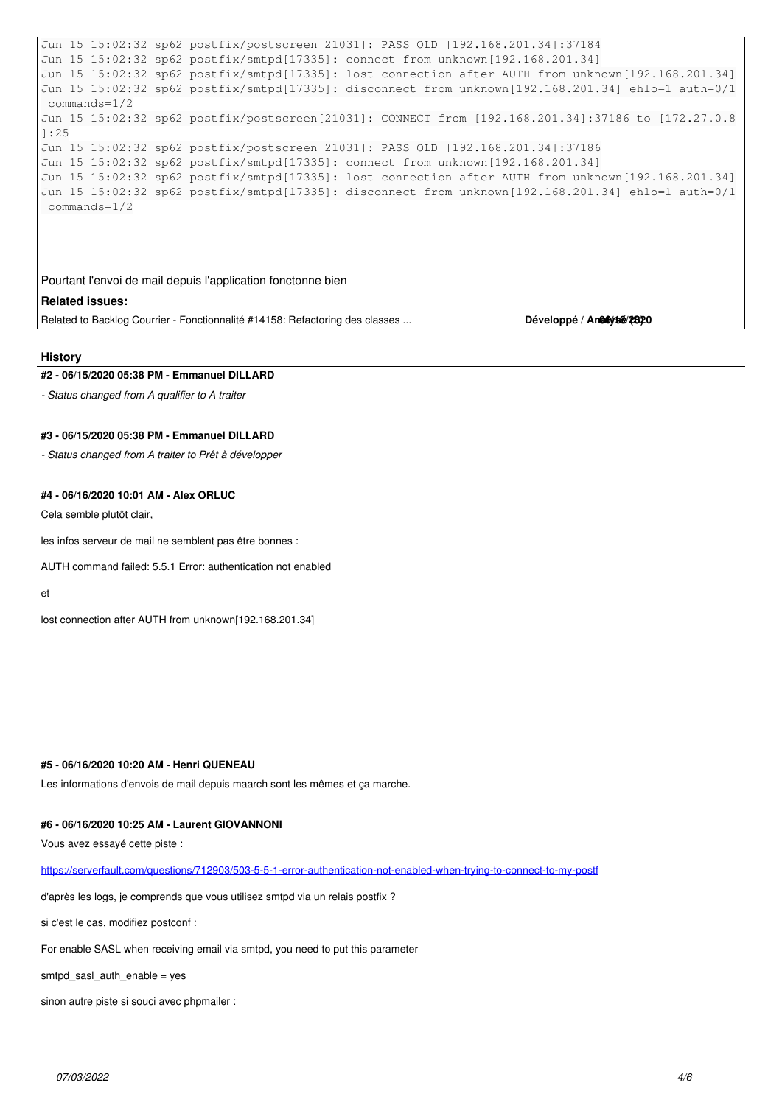```
Jun 15 15:02:32 sp62 postfix/postscreen[21031]: PASS OLD [192.168.201.34]:37184
Jun 15 15:02:32 sp62 postfix/smtpd[17335]: connect from unknown[192.168.201.34]
Jun 15 15:02:32 sp62 postfix/smtpd[17335]: lost connection after AUTH from unknown[192.168.201.34]
Jun 15 15:02:32 sp62 postfix/smtpd[17335]: disconnect from unknown[192.168.201.34] ehlo=1 auth=0/1
 commands=1/2
Jun 15 15:02:32 sp62 postfix/postscreen[21031]: CONNECT from [192.168.201.34]:37186 to [172.27.0.8
]:25
Jun 15 15:02:32 sp62 postfix/postscreen[21031]: PASS OLD [192.168.201.34]:37186
Jun 15 15:02:32 sp62 postfix/smtpd[17335]: connect from unknown[192.168.201.34]
Jun 15 15:02:32 sp62 postfix/smtpd[17335]: lost connection after AUTH from unknown[192.168.201.34]
Jun 15 15:02:32 sp62 postfix/smtpd[17335]: disconnect from unknown[192.168.201.34] ehlo=1 auth=0/1
 commands=1/2
```
## Pourtant l'envoi de mail depuis l'application fonctonne bien

**Related issues:**

Related to Backlog Courrier - Fonctionnalité #14158: Refactoring des classes ... **Développé / Analysé/2020** 

#### **History**

## **#2 - 06/15/2020 05:38 PM - Emmanuel DILLARD**

*- Status changed from A qualifier to A traiter*

# **#3 - 06/15/2020 05:38 PM - Emmanuel DILLARD**

*- Status changed from A traiter to Prêt à développer*

## **#4 - 06/16/2020 10:01 AM - Alex ORLUC**

Cela semble plutôt clair,

les infos serveur de mail ne semblent pas être bonnes :

AUTH command failed: 5.5.1 Error: authentication not enabled

et

lost connection after AUTH from unknown[192.168.201.34]

#### **#5 - 06/16/2020 10:20 AM - Henri QUENEAU**

Les informations d'envois de mail depuis maarch sont les mêmes et ça marche.

## **#6 - 06/16/2020 10:25 AM - Laurent GIOVANNONI**

Vous avez essayé cette piste :

<https://serverfault.com/questions/712903/503-5-5-1-error-authentication-not-enabled-when-trying-to-connect-to-my-postf>

d'après les logs, je comprends que vous utilisez smtpd via un relais postfix ?

si c'est le cas, modifiez postconf :

For enable SASL when receiving email via smtpd, you need to put this parameter

smtpd\_sasl\_auth\_enable = yes

sinon autre piste si souci avec phpmailer :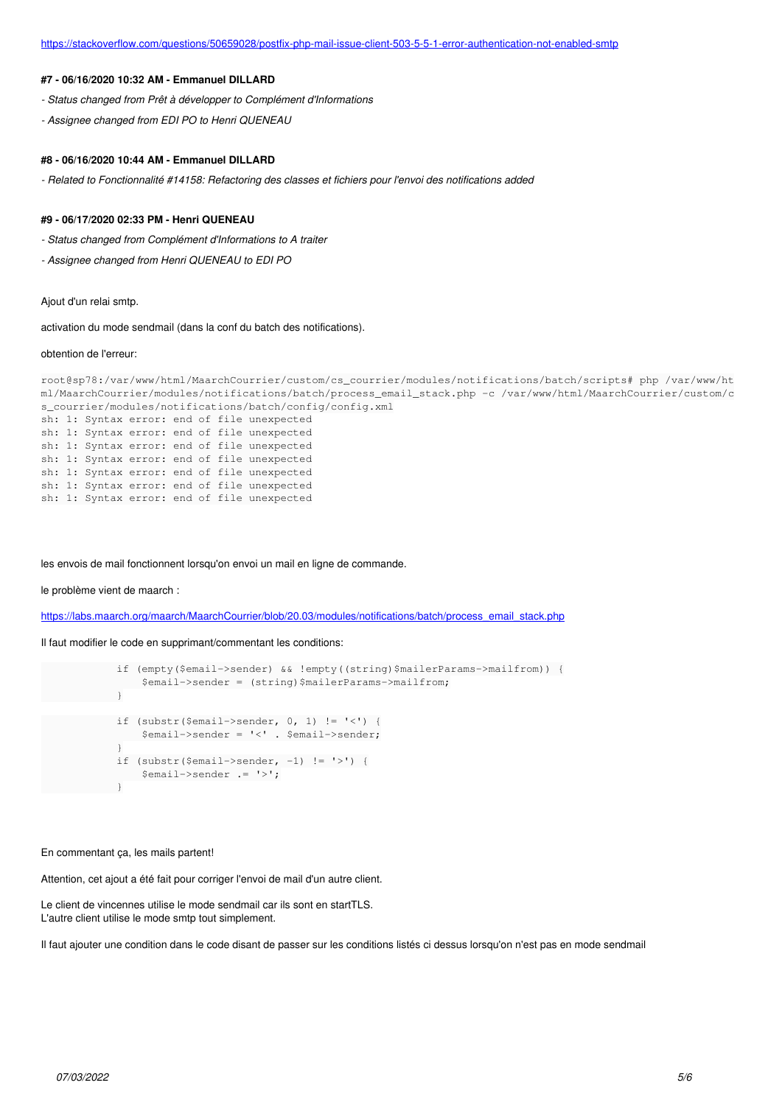## **#7 - 06/16/2020 10:32 AM - Emmanuel DILLARD**

- *Status changed from Prêt à développer to Complément d'Informations*
- *Assignee changed from EDI PO to Henri QUENEAU*

#### **#8 - 06/16/2020 10:44 AM - Emmanuel DILLARD**

*- Related to Fonctionnalité #14158: Refactoring des classes et fichiers pour l'envoi des notifications added*

#### **#9 - 06/17/2020 02:33 PM - Henri QUENEAU**

- *Status changed from Complément d'Informations to A traiter*
- *Assignee changed from Henri QUENEAU to EDI PO*

#### Ajout d'un relai smtp.

activation du mode sendmail (dans la conf du batch des notifications).

#### obtention de l'erreur:

```
root@sp78:/var/www/html/MaarchCourrier/custom/cs_courrier/modules/notifications/batch/scripts# php /var/www/ht
ml/MaarchCourrier/modules/notifications/batch/process_email_stack.php -c /var/www/html/MaarchCourrier/custom/c
s_courrier/modules/notifications/batch/config/config.xml
sh: 1: Syntax error: end of file unexpected
sh: 1: Syntax error: end of file unexpected
sh: 1: Syntax error: end of file unexpected
sh: 1: Syntax error: end of file unexpected
sh: 1: Syntax error: end of file unexpected
sh: 1: Syntax error: end of file unexpected
sh: 1: Syntax error: end of file unexpected
```
les envois de mail fonctionnent lorsqu'on envoi un mail en ligne de commande.

#### le problème vient de maarch :

[https://labs.maarch.org/maarch/MaarchCourrier/blob/20.03/modules/notifications/batch/process\\_email\\_stack.php](https://labs.maarch.org/maarch/MaarchCourrier/blob/20.03/modules/notifications/batch/process_email_stack.php)

Il faut modifier le code en supprimant/commentant les conditions:

```
            if (empty($email->sender) && !empty((string)$mailerParams->mailfrom)) {
                                   $email->sender = (string)$mailerParams->mailfrom;
            }
              if (substr($email->sender, 0, 1) != '<') {
                                  $email->sender = '<' . $email->sender;
            }
              if (substr($email->sender, -1) != '>') {
                                  $email->sender .= '>';
            }
```
En commentant ça, les mails partent!

Attention, cet ajout a été fait pour corriger l'envoi de mail d'un autre client.

Le client de vincennes utilise le mode sendmail car ils sont en startTLS. L'autre client utilise le mode smtp tout simplement.

Il faut ajouter une condition dans le code disant de passer sur les conditions listés ci dessus lorsqu'on n'est pas en mode sendmail